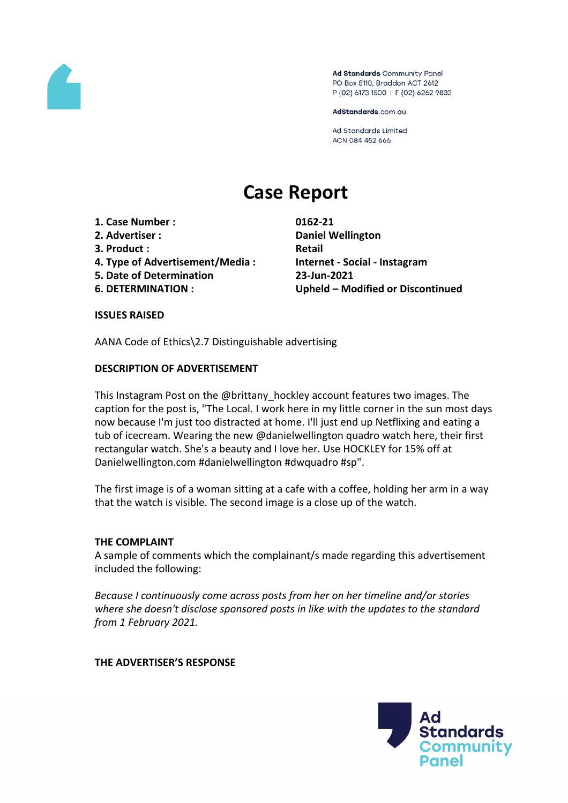

Ad Standards Community Panel PO Box 5110, Braddon ACT 2612 P (02) 6173 1500 | F (02) 6262 9833

AdStandards.com.au

**Ad Standards Limited** ACN 084 452 666

# **Case Report**

- **1. Case Number : 0162-21**
- 
- **3. Product**: **Retail**
- **4. Type of Advertisement/Media : Internet - Social - Instagram**
- **5. Date of Determination 23-Jun-2021**
- 

**2. Advertiser : Daniel Wellington 6. DETERMINATION : Upheld – Modified or Discontinued**

#### **ISSUES RAISED**

AANA Code of Ethics\2.7 Distinguishable advertising

## **DESCRIPTION OF ADVERTISEMENT**

This Instagram Post on the @brittany hockley account features two images. The caption for the post is, "The Local. I work here in my little corner in the sun most days now because I'm just too distracted at home. I'll just end up Netflixing and eating a tub of icecream. Wearing the new @danielwellington quadro watch here, their first rectangular watch. She's a beauty and I love her. Use HOCKLEY for 15% off at Danielwellington.com #danielwellington #dwquadro #sp".

The first image is of a woman sitting at a cafe with a coffee, holding her arm in a way that the watch is visible. The second image is a close up of the watch.

## **THE COMPLAINT**

A sample of comments which the complainant/s made regarding this advertisement included the following:

*Because I continuously come across posts from her on her timeline and/or stories where she doesn't disclose sponsored posts in like with the updates to the standard from 1 February 2021.*

#### **THE ADVERTISER'S RESPONSE**

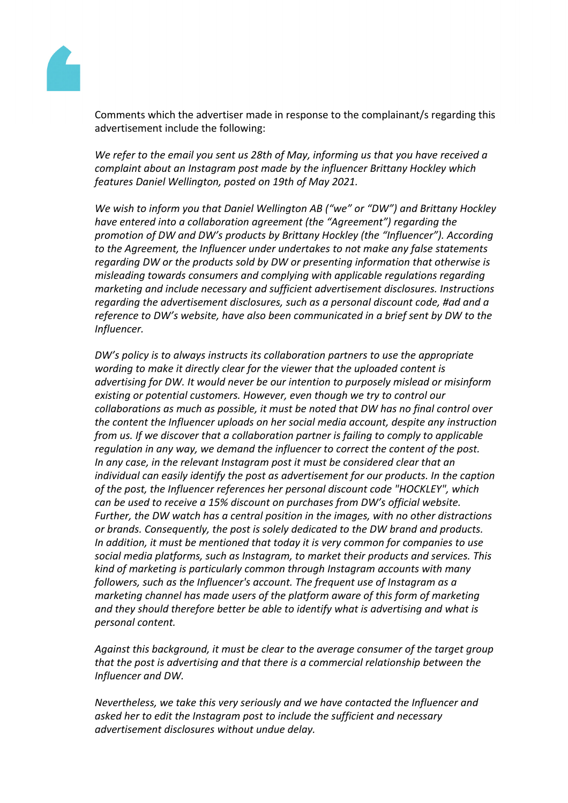

Comments which the advertiser made in response to the complainant/s regarding this advertisement include the following:

*We refer to the email you sent us 28th of May, informing us that you have received a complaint about an Instagram post made by the influencer Brittany Hockley which features Daniel Wellington, posted on 19th of May 2021.*

*We wish to inform you that Daniel Wellington AB ("we" or "DW") and Brittany Hockley have entered into a collaboration agreement (the "Agreement") regarding the promotion of DW and DW's products by Brittany Hockley (the "Influencer"). According to the Agreement, the Influencer under undertakes to not make any false statements regarding DW or the products sold by DW or presenting information that otherwise is misleading towards consumers and complying with applicable regulations regarding marketing and include necessary and sufficient advertisement disclosures. Instructions regarding the advertisement disclosures, such as a personal discount code, #ad and a reference to DW's website, have also been communicated in a brief sent by DW to the Influencer.*

*DW's policy is to always instructs its collaboration partners to use the appropriate wording to make it directly clear for the viewer that the uploaded content is advertising for DW. It would never be our intention to purposely mislead or misinform existing or potential customers. However, even though we try to control our collaborations as much as possible, it must be noted that DW has no final control over the content the Influencer uploads on her social media account, despite any instruction from us. If we discover that a collaboration partner is failing to comply to applicable regulation in any way, we demand the influencer to correct the content of the post. In any case, in the relevant Instagram post it must be considered clear that an individual can easily identify the post as advertisement for our products. In the caption of the post, the Influencer references her personal discount code "HOCKLEY", which can be used to receive a 15% discount on purchases from DW's official website. Further, the DW watch has a central position in the images, with no other distractions or brands. Consequently, the post is solely dedicated to the DW brand and products. In addition, it must be mentioned that today it is very common for companies to use social media platforms, such as Instagram, to market their products and services. This kind of marketing is particularly common through Instagram accounts with many followers, such as the Influencer's account. The frequent use of Instagram as a marketing channel has made users of the platform aware of this form of marketing and they should therefore better be able to identify what is advertising and what is personal content.*

*Against this background, it must be clear to the average consumer of the target group that the post is advertising and that there is a commercial relationship between the Influencer and DW.*

*Nevertheless, we take this very seriously and we have contacted the Influencer and asked her to edit the Instagram post to include the sufficient and necessary advertisement disclosures without undue delay.*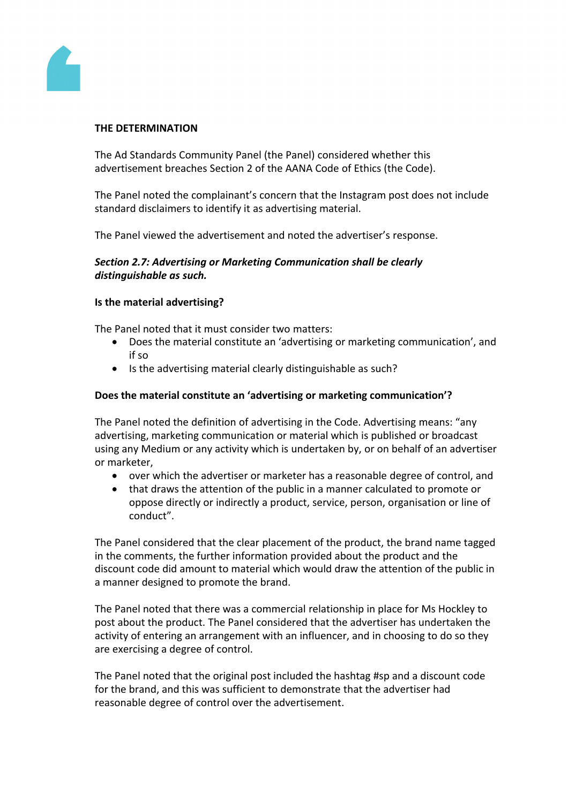

# **THE DETERMINATION**

The Ad Standards Community Panel (the Panel) considered whether this advertisement breaches Section 2 of the AANA Code of Ethics (the Code).

The Panel noted the complainant's concern that the Instagram post does not include standard disclaimers to identify it as advertising material.

The Panel viewed the advertisement and noted the advertiser's response.

# *Section 2.7: Advertising or Marketing Communication shall be clearly distinguishable as such.*

## **Is the material advertising?**

The Panel noted that it must consider two matters:

- Does the material constitute an 'advertising or marketing communication', and if so
- Is the advertising material clearly distinguishable as such?

# **Does the material constitute an 'advertising or marketing communication'?**

The Panel noted the definition of advertising in the Code. Advertising means: "any advertising, marketing communication or material which is published or broadcast using any Medium or any activity which is undertaken by, or on behalf of an advertiser or marketer,

- over which the advertiser or marketer has a reasonable degree of control, and
- that draws the attention of the public in a manner calculated to promote or oppose directly or indirectly a product, service, person, organisation or line of conduct".

The Panel considered that the clear placement of the product, the brand name tagged in the comments, the further information provided about the product and the discount code did amount to material which would draw the attention of the public in a manner designed to promote the brand.

The Panel noted that there was a commercial relationship in place for Ms Hockley to post about the product. The Panel considered that the advertiser has undertaken the activity of entering an arrangement with an influencer, and in choosing to do so they are exercising a degree of control.

The Panel noted that the original post included the hashtag #sp and a discount code for the brand, and this was sufficient to demonstrate that the advertiser had reasonable degree of control over the advertisement.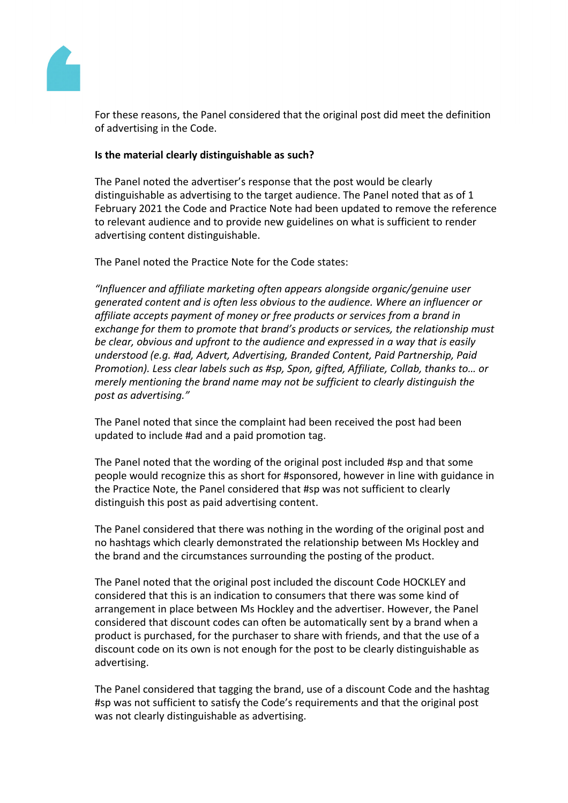

For these reasons, the Panel considered that the original post did meet the definition of advertising in the Code.

## **Is the material clearly distinguishable as such?**

The Panel noted the advertiser's response that the post would be clearly distinguishable as advertising to the target audience. The Panel noted that as of 1 February 2021 the Code and Practice Note had been updated to remove the reference to relevant audience and to provide new guidelines on what is sufficient to render advertising content distinguishable.

The Panel noted the Practice Note for the Code states:

*"Influencer and affiliate marketing often appears alongside organic/genuine user generated content and is often less obvious to the audience. Where an influencer or affiliate accepts payment of money or free products or services from a brand in exchange for them to promote that brand's products or services, the relationship must be clear, obvious and upfront to the audience and expressed in a way that is easily understood (e.g. #ad, Advert, Advertising, Branded Content, Paid Partnership, Paid Promotion). Less clear labels such as #sp, Spon, gifted, Affiliate, Collab, thanks to… or merely mentioning the brand name may not be sufficient to clearly distinguish the post as advertising."*

The Panel noted that since the complaint had been received the post had been updated to include #ad and a paid promotion tag.

The Panel noted that the wording of the original post included #sp and that some people would recognize this as short for #sponsored, however in line with guidance in the Practice Note, the Panel considered that #sp was not sufficient to clearly distinguish this post as paid advertising content.

The Panel considered that there was nothing in the wording of the original post and no hashtags which clearly demonstrated the relationship between Ms Hockley and the brand and the circumstances surrounding the posting of the product.

The Panel noted that the original post included the discount Code HOCKLEY and considered that this is an indication to consumers that there was some kind of arrangement in place between Ms Hockley and the advertiser. However, the Panel considered that discount codes can often be automatically sent by a brand when a product is purchased, for the purchaser to share with friends, and that the use of a discount code on its own is not enough for the post to be clearly distinguishable as advertising.

The Panel considered that tagging the brand, use of a discount Code and the hashtag #sp was not sufficient to satisfy the Code's requirements and that the original post was not clearly distinguishable as advertising.